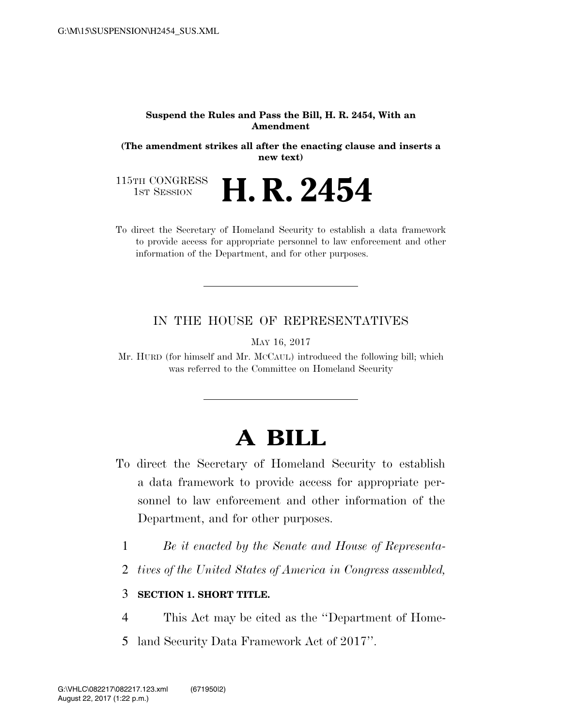#### **Suspend the Rules and Pass the Bill, H. R. 2454, With an Amendment**

**(The amendment strikes all after the enacting clause and inserts a new text)** 

115TH CONGRESS<br>1st Session **H. R. 2454** 

To direct the Secretary of Homeland Security to establish a data framework to provide access for appropriate personnel to law enforcement and other information of the Department, and for other purposes.

### IN THE HOUSE OF REPRESENTATIVES

MAY 16, 2017

Mr. HURD (for himself and Mr. MCCAUL) introduced the following bill; which was referred to the Committee on Homeland Security

# **A BILL**

- To direct the Secretary of Homeland Security to establish a data framework to provide access for appropriate personnel to law enforcement and other information of the Department, and for other purposes.
	- 1 *Be it enacted by the Senate and House of Representa-*
	- 2 *tives of the United States of America in Congress assembled,*

### 3 **SECTION 1. SHORT TITLE.**

- 4 This Act may be cited as the ''Department of Home-
- 5 land Security Data Framework Act of 2017''.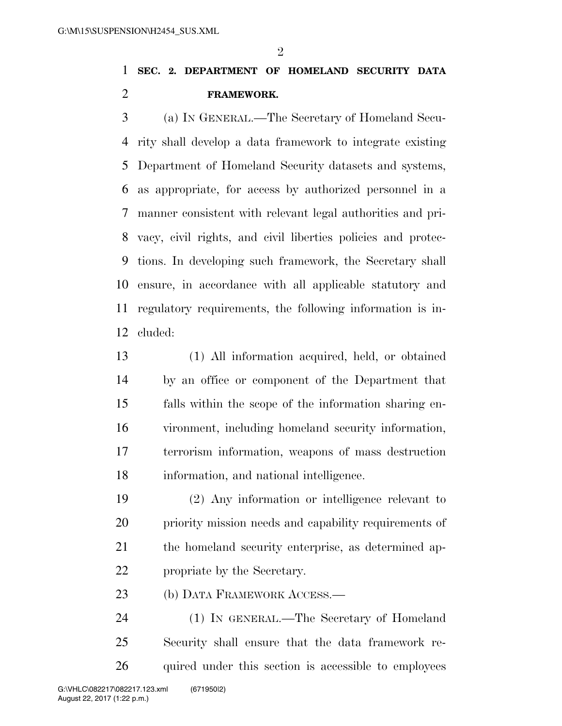$\mathfrak{D}$ 

## **SEC. 2. DEPARTMENT OF HOMELAND SECURITY DATA FRAMEWORK.**

 (a) IN GENERAL.—The Secretary of Homeland Secu- rity shall develop a data framework to integrate existing Department of Homeland Security datasets and systems, as appropriate, for access by authorized personnel in a manner consistent with relevant legal authorities and pri- vacy, civil rights, and civil liberties policies and protec- tions. In developing such framework, the Secretary shall ensure, in accordance with all applicable statutory and regulatory requirements, the following information is in-cluded:

 (1) All information acquired, held, or obtained by an office or component of the Department that falls within the scope of the information sharing en- vironment, including homeland security information, terrorism information, weapons of mass destruction information, and national intelligence.

 (2) Any information or intelligence relevant to priority mission needs and capability requirements of the homeland security enterprise, as determined ap-propriate by the Secretary.

(b) DATA FRAMEWORK ACCESS.—

 (1) IN GENERAL.—The Secretary of Homeland Security shall ensure that the data framework re-26 quired under this section is accessible to employees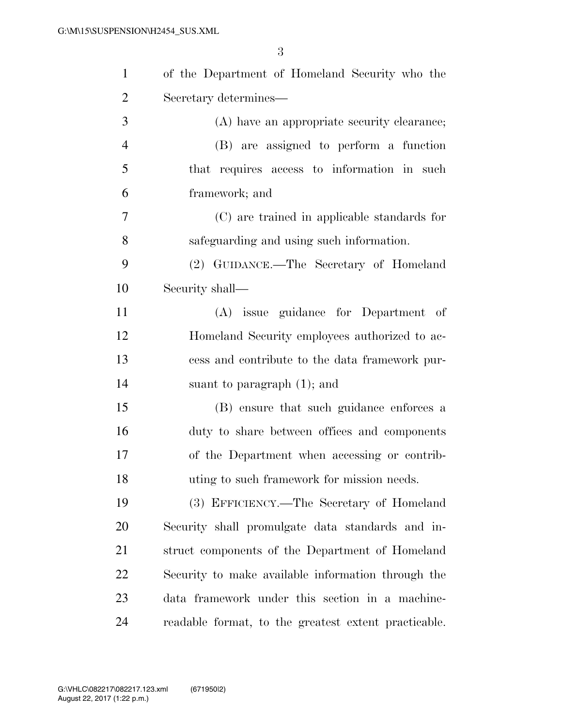| $\mathbf{1}$   | of the Department of Homeland Security who the       |
|----------------|------------------------------------------------------|
| $\overline{2}$ | Secretary determines-                                |
| 3              | (A) have an appropriate security clearance;          |
| $\overline{4}$ | (B) are assigned to perform a function               |
| 5              | that requires access to information in such          |
| 6              | framework; and                                       |
| 7              | (C) are trained in applicable standards for          |
| 8              | safeguarding and using such information.             |
| 9              | (2) GUIDANCE.—The Secretary of Homeland              |
| 10             | Security shall—                                      |
| 11             | (A) issue guidance for Department of                 |
| 12             | Homeland Security employees authorized to ac-        |
| 13             | cess and contribute to the data framework pur-       |
| 14             | suant to paragraph $(1)$ ; and                       |
| 15             | (B) ensure that such guidance enforces a             |
| 16             | duty to share between offices and components         |
| 17             | of the Department when accessing or contrib-         |
| 18             | uting to such framework for mission needs.           |
| 19             | (3) EFFICIENCY.—The Secretary of Homeland            |
| 20             | Security shall promulgate data standards and in-     |
| 21             | struct components of the Department of Homeland      |
| 22             | Security to make available information through the   |
| 23             | data framework under this section in a machine-      |
| 24             | readable format, to the greatest extent practicable. |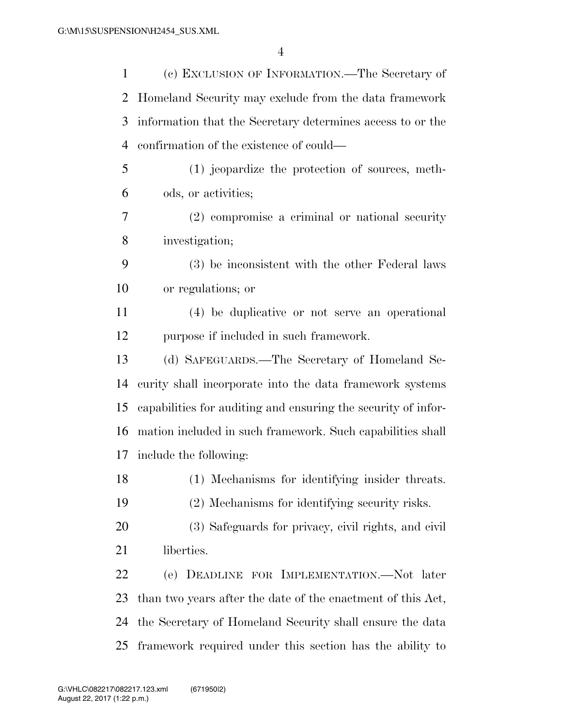| $\mathbf{1}$   | (c) EXCLUSION OF INFORMATION.—The Secretary of                |
|----------------|---------------------------------------------------------------|
| $\overline{2}$ | Homeland Security may exclude from the data framework         |
| 3              | information that the Secretary determines access to or the    |
| $\overline{4}$ | confirmation of the existence of could—                       |
| 5              | (1) jeopardize the protection of sources, meth-               |
| 6              | ods, or activities;                                           |
| 7              | $(2)$ compromise a criminal or national security              |
| 8              | investigation;                                                |
| 9              | (3) be inconsistent with the other Federal laws               |
| 10             | or regulations; or                                            |
| 11             | (4) be duplicative or not serve an operational                |
| 12             | purpose if included in such framework.                        |
| 13             | (d) SAFEGUARDS.—The Secretary of Homeland Se-                 |
| 14             | curity shall incorporate into the data framework systems      |
| 15             | capabilities for auditing and ensuring the security of infor- |
| 16             | mation included in such framework. Such capabilities shall    |
| 17             | include the following:                                        |
| 18             | (1) Mechanisms for identifying insider threats.               |
| 19             | (2) Mechanisms for identifying security risks.                |
| 20             | (3) Safeguards for privacy, civil rights, and civil           |
| 21             | liberties.                                                    |
| 22             | (e) DEADLINE FOR IMPLEMENTATION.—Not later                    |
| 23             | than two years after the date of the enactment of this Act,   |
| 24             | the Secretary of Homeland Security shall ensure the data      |
| 25             | framework required under this section has the ability to      |
|                |                                                               |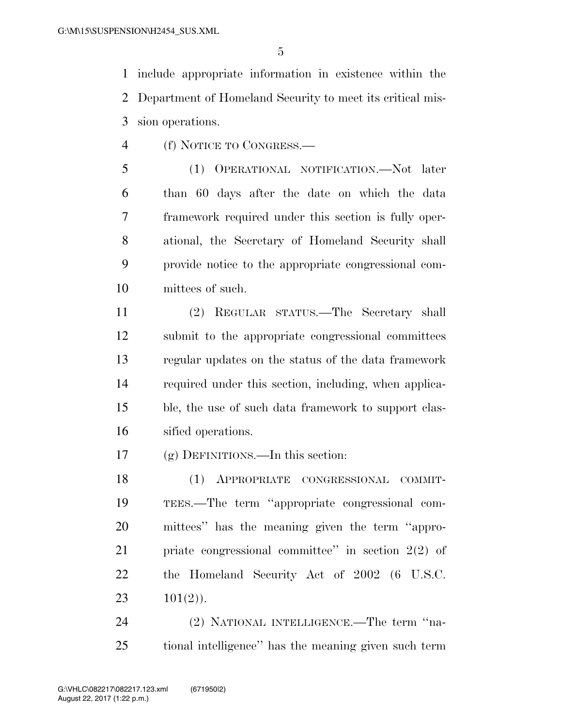include appropriate information in existence within the Department of Homeland Security to meet its critical mis-sion operations.

(f) NOTICE TO CONGRESS.—

 (1) OPERATIONAL NOTIFICATION.—Not later than 60 days after the date on which the data framework required under this section is fully oper- ational, the Secretary of Homeland Security shall provide notice to the appropriate congressional com-mittees of such.

 (2) REGULAR STATUS.—The Secretary shall submit to the appropriate congressional committees regular updates on the status of the data framework required under this section, including, when applica- ble, the use of such data framework to support clas-sified operations.

(g) DEFINITIONS.—In this section:

 (1) APPROPRIATE CONGRESSIONAL COMMIT- TEES.—The term ''appropriate congressional com- mittees'' has the meaning given the term ''appro- priate congressional committee'' in section 2(2) of the Homeland Security Act of 2002 (6 U.S.C. 23  $101(2)$ .

 (2) NATIONAL INTELLIGENCE.—The term ''na-tional intelligence'' has the meaning given such term